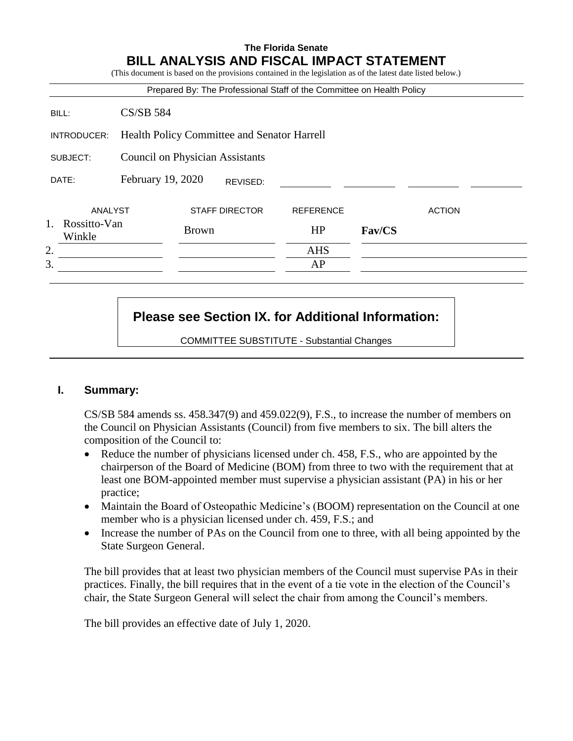### **The Florida Senate BILL ANALYSIS AND FISCAL IMPACT STATEMENT**

(This document is based on the provisions contained in the legislation as of the latest date listed below.) Prepared By: The Professional Staff of the Committee on Health Policy BILL: CS/SB 584 INTRODUCER: Health Policy Committee and Senator Harrell SUBJECT: Council on Physician Assistants DATE: February 19, 2020 ANALYST STAFF DIRECTOR REFERENCE ACTION 1. Rossitto-Van Rossitio- van **Brown** HP **Fav/CS HP Fav/CS** 2. AHS  $3.$  AP REVISED:

# **Please see Section IX. for Additional Information:**

COMMITTEE SUBSTITUTE - Substantial Changes

### **I. Summary:**

 $CS/SB$  584 amends ss.  $458.347(9)$  and  $459.022(9)$ , F.S., to increase the number of members on the Council on Physician Assistants (Council) from five members to six. The bill alters the composition of the Council to:

- Reduce the number of physicians licensed under ch. 458, F.S., who are appointed by the chairperson of the Board of Medicine (BOM) from three to two with the requirement that at least one BOM-appointed member must supervise a physician assistant (PA) in his or her practice;
- Maintain the Board of Osteopathic Medicine's (BOOM) representation on the Council at one member who is a physician licensed under ch. 459, F.S.; and
- Increase the number of PAs on the Council from one to three, with all being appointed by the State Surgeon General.

The bill provides that at least two physician members of the Council must supervise PAs in their practices. Finally, the bill requires that in the event of a tie vote in the election of the Council's chair, the State Surgeon General will select the chair from among the Council's members.

The bill provides an effective date of July 1, 2020.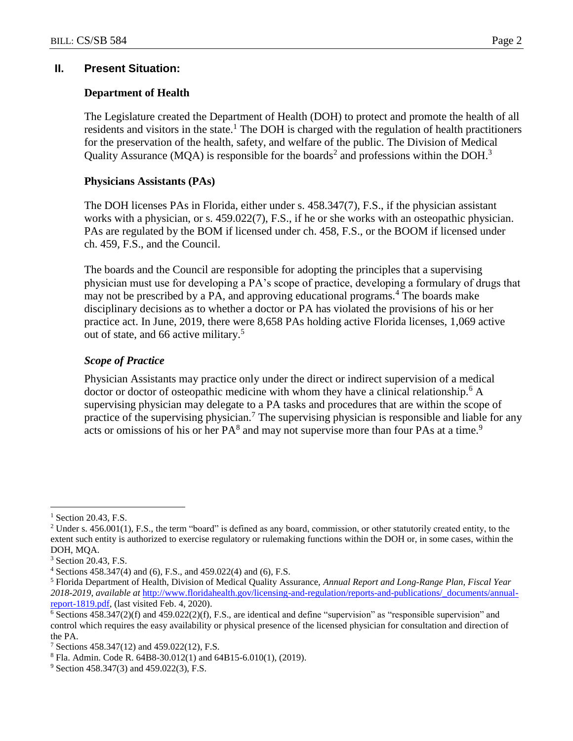### **II. Present Situation:**

#### **Department of Health**

The Legislature created the Department of Health (DOH) to protect and promote the health of all residents and visitors in the state.<sup>1</sup> The DOH is charged with the regulation of health practitioners for the preservation of the health, safety, and welfare of the public. The Division of Medical Quality Assurance (MQA) is responsible for the boards<sup>2</sup> and professions within the DOH.<sup>3</sup>

#### **Physicians Assistants (PAs)**

The DOH licenses PAs in Florida, either under s. 458.347(7), F.S., if the physician assistant works with a physician, or s. 459.022(7), F.S., if he or she works with an osteopathic physician. PAs are regulated by the BOM if licensed under ch. 458, F.S., or the BOOM if licensed under ch. 459, F.S., and the Council.

The boards and the Council are responsible for adopting the principles that a supervising physician must use for developing a PA's scope of practice, developing a formulary of drugs that may not be prescribed by a PA, and approving educational programs.<sup>4</sup> The boards make disciplinary decisions as to whether a doctor or PA has violated the provisions of his or her practice act. In June, 2019, there were 8,658 PAs holding active Florida licenses, 1,069 active out of state, and 66 active military.<sup>5</sup>

#### *Scope of Practice*

Physician Assistants may practice only under the direct or indirect supervision of a medical doctor or doctor of osteopathic medicine with whom they have a clinical relationship.<sup>6</sup> A supervising physician may delegate to a PA tasks and procedures that are within the scope of practice of the supervising physician.<sup>7</sup> The supervising physician is responsible and liable for any acts or omissions of his or her  $PA^8$  and may not supervise more than four PAs at a time.<sup>9</sup>

 $\overline{a}$ 

 $<sup>1</sup>$  Section 20.43, F.S.</sup>

 $2$  Under s.  $456.001(1)$ , F.S., the term "board" is defined as any board, commission, or other statutorily created entity, to the extent such entity is authorized to exercise regulatory or rulemaking functions within the DOH or, in some cases, within the DOH, MQA.

<sup>3</sup> Section 20.43, F.S.

<sup>4</sup> Sections 458.347(4) and (6), F.S., and 459.022(4) and (6), F.S.

<sup>5</sup> Florida Department of Health, Division of Medical Quality Assurance, *Annual Report and Long-Range Plan, Fiscal Year 2018-2019*, *available at* [http://www.floridahealth.gov/licensing-and-regulation/reports-and-publications/\\_documents/annual](http://www.floridahealth.gov/licensing-and-regulation/reports-and-publications/_documents/annual-report-1819.pdf)[report-1819.pdf,](http://www.floridahealth.gov/licensing-and-regulation/reports-and-publications/_documents/annual-report-1819.pdf) (last visited Feb. 4, 2020).

 $6$  Sections 458.347(2)(f) and 459.022(2)(f), F.S., are identical and define "supervision" as "responsible supervision" and control which requires the easy availability or physical presence of the licensed physician for consultation and direction of the PA.

<sup>7</sup> Sections 458.347(12) and 459.022(12), F.S.

<sup>8</sup> Fla. Admin. Code R. 64B8-30.012(1) and 64B15-6.010(1), (2019).

<sup>&</sup>lt;sup>9</sup> Section 458.347(3) and 459.022(3), F.S.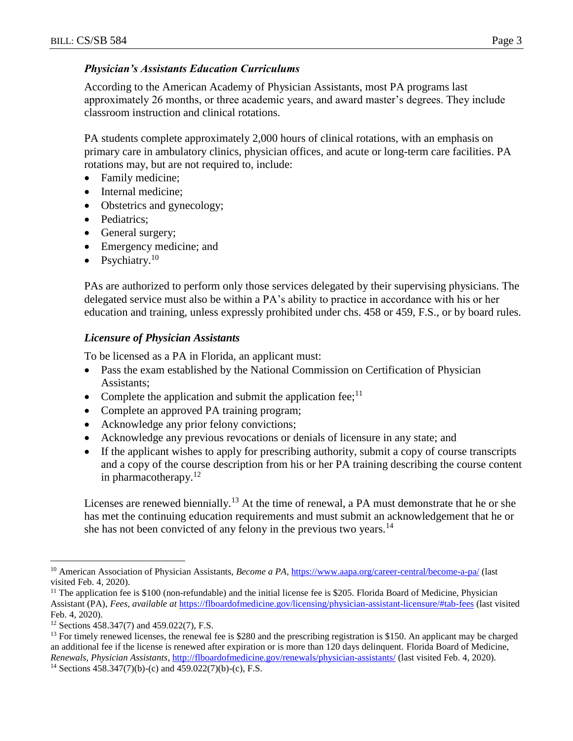### *Physician's Assistants Education Curriculums*

According to the American Academy of Physician Assistants, most PA programs last approximately 26 months, or three academic years, and award master's degrees. They include classroom instruction and clinical rotations.

PA students complete approximately 2,000 hours of clinical rotations, with an emphasis on primary care in ambulatory clinics, physician offices, and acute or long-term care facilities. PA rotations may, but are not required to, include:

- Family medicine;
- Internal medicine;
- Obstetrics and gynecology;
- Pediatrics:
- General surgery;
- Emergency medicine; and
- Psychiatry.<sup>10</sup>

PAs are authorized to perform only those services delegated by their supervising physicians. The delegated service must also be within a PA's ability to practice in accordance with his or her education and training, unless expressly prohibited under chs. 458 or 459, F.S., or by board rules.

### *Licensure of Physician Assistants*

To be licensed as a PA in Florida, an applicant must:

- Pass the exam established by the National Commission on Certification of Physician Assistants;
- Complete the application and submit the application fee;<sup>11</sup>
- Complete an approved PA training program;
- Acknowledge any prior felony convictions;
- Acknowledge any previous revocations or denials of licensure in any state; and
- If the applicant wishes to apply for prescribing authority, submit a copy of course transcripts and a copy of the course description from his or her PA training describing the course content in pharmacotherapy. $12$

Licenses are renewed biennially.<sup>13</sup> At the time of renewal, a PA must demonstrate that he or she has met the continuing education requirements and must submit an acknowledgement that he or she has not been convicted of any felony in the previous two years.<sup>14</sup>

 $\overline{a}$ 

<sup>&</sup>lt;sup>10</sup> American Association of Physician Assistants, *Become a PA*, <https://www.aapa.org/career-central/become-a-pa/> (last visited Feb. 4, 2020).

 $<sup>11</sup>$  The application fee is \$100 (non-refundable) and the initial license fee is \$205. Florida Board of Medicine, Physician</sup> Assistant (PA), *Fees, available at* <https://flboardofmedicine.gov/licensing/physician-assistant-licensure/#tab-fees> (last visited Feb. 4, 2020).

<sup>12</sup> Sections 458.347(7) and 459.022(7), F.S.

 $<sup>13</sup>$  For timely renewed licenses, the renewal fee is \$280 and the prescribing registration is \$150. An applicant may be charged</sup> an additional fee if the license is renewed after expiration or is more than 120 days delinquent. Florida Board of Medicine, *Renewals, Physician Assistants*, <http://flboardofmedicine.gov/renewals/physician-assistants/> (last visited Feb. 4, 2020).

<sup>&</sup>lt;sup>14</sup> Sections  $458.347(7)(b)$ -(c) and  $459.022(7)(b)$ -(c), F.S.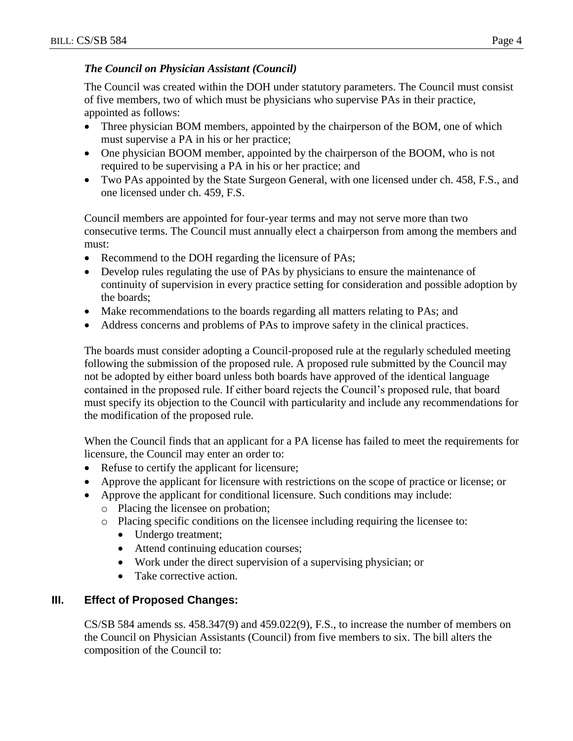### *The Council on Physician Assistant (Council)*

The Council was created within the DOH under statutory parameters. The Council must consist of five members, two of which must be physicians who supervise PAs in their practice, appointed as follows:

- Three physician BOM members, appointed by the chairperson of the BOM, one of which must supervise a PA in his or her practice;
- One physician BOOM member, appointed by the chairperson of the BOOM, who is not required to be supervising a PA in his or her practice; and
- Two PAs appointed by the State Surgeon General, with one licensed under ch. 458, F.S., and one licensed under ch. 459, F.S.

Council members are appointed for four-year terms and may not serve more than two consecutive terms. The Council must annually elect a chairperson from among the members and must:

- Recommend to the DOH regarding the licensure of PAs;
- Develop rules regulating the use of PAs by physicians to ensure the maintenance of continuity of supervision in every practice setting for consideration and possible adoption by the boards;
- Make recommendations to the boards regarding all matters relating to PAs; and
- Address concerns and problems of PAs to improve safety in the clinical practices.

The boards must consider adopting a Council-proposed rule at the regularly scheduled meeting following the submission of the proposed rule. A proposed rule submitted by the Council may not be adopted by either board unless both boards have approved of the identical language contained in the proposed rule. If either board rejects the Council's proposed rule, that board must specify its objection to the Council with particularity and include any recommendations for the modification of the proposed rule.

When the Council finds that an applicant for a PA license has failed to meet the requirements for licensure, the Council may enter an order to:

- Refuse to certify the applicant for licensure;
- Approve the applicant for licensure with restrictions on the scope of practice or license; or
- Approve the applicant for conditional licensure. Such conditions may include:
	- o Placing the licensee on probation;
	- o Placing specific conditions on the licensee including requiring the licensee to:
		- Undergo treatment;
		- Attend continuing education courses;
		- Work under the direct supervision of a supervising physician; or
		- Take corrective action.

## **III. Effect of Proposed Changes:**

 $CS/SB$  584 amends ss.  $458.347(9)$  and  $459.022(9)$ , F.S., to increase the number of members on the Council on Physician Assistants (Council) from five members to six. The bill alters the composition of the Council to: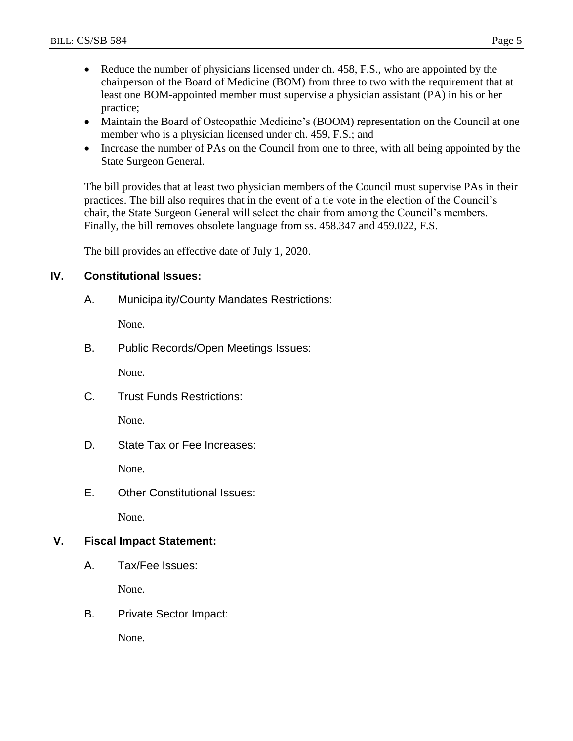- Reduce the number of physicians licensed under ch. 458, F.S., who are appointed by the chairperson of the Board of Medicine (BOM) from three to two with the requirement that at least one BOM-appointed member must supervise a physician assistant (PA) in his or her practice;
- Maintain the Board of Osteopathic Medicine's (BOOM) representation on the Council at one member who is a physician licensed under ch. 459, F.S.; and
- Increase the number of PAs on the Council from one to three, with all being appointed by the State Surgeon General.

The bill provides that at least two physician members of the Council must supervise PAs in their practices. The bill also requires that in the event of a tie vote in the election of the Council's chair, the State Surgeon General will select the chair from among the Council's members. Finally, the bill removes obsolete language from ss. 458.347 and 459.022, F.S.

The bill provides an effective date of July 1, 2020.

### **IV. Constitutional Issues:**

A. Municipality/County Mandates Restrictions:

None.

B. Public Records/Open Meetings Issues:

None.

C. Trust Funds Restrictions:

None.

D. State Tax or Fee Increases:

None.

E. Other Constitutional Issues:

None.

### **V. Fiscal Impact Statement:**

A. Tax/Fee Issues:

None.

B. Private Sector Impact:

None.